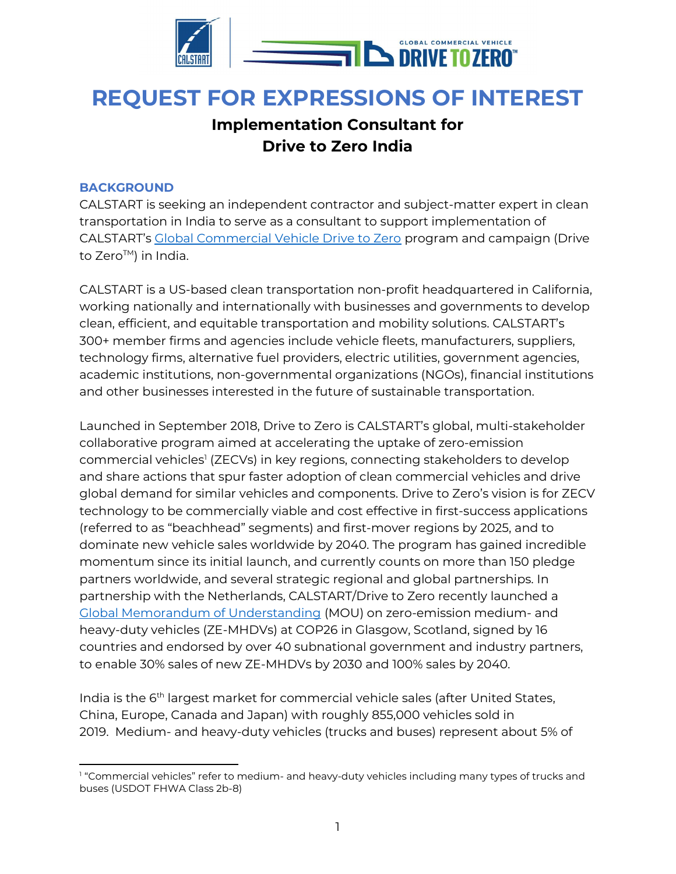

# REQUEST FOR EXPRESSIONS OF INTEREST

## Implementation Consultant for Drive to Zero India

#### BACKGROUND

CALSTART is seeking an independent contractor and subject-matter expert in clean transportation in India to serve as a consultant to support implementation of CALSTART's Global Commercial Vehicle Drive to Zero program and campaign (Drive to Zero™) in India.

CALSTART is a US-based clean transportation non-profit headquartered in California, working nationally and internationally with businesses and governments to develop clean, efficient, and equitable transportation and mobility solutions. CALSTART's 300+ member firms and agencies include vehicle fleets, manufacturers, suppliers, technology firms, alternative fuel providers, electric utilities, government agencies, academic institutions, non-governmental organizations (NGOs), financial institutions and other businesses interested in the future of sustainable transportation.

Launched in September 2018, Drive to Zero is CALSTART's global, multi-stakeholder collaborative program aimed at accelerating the uptake of zero-emission commercial vehicles<sup>1</sup> (ZECVs) in key regions, connecting stakeholders to develop and share actions that spur faster adoption of clean commercial vehicles and drive global demand for similar vehicles and components. Drive to Zero's vision is for ZECV technology to be commercially viable and cost effective in first-success applications (referred to as "beachhead" segments) and first-mover regions by 2025, and to dominate new vehicle sales worldwide by 2040. The program has gained incredible momentum since its initial launch, and currently counts on more than 150 pledge partners worldwide, and several strategic regional and global partnerships. In partnership with the Netherlands, CALSTART/Drive to Zero recently launched a Global Memorandum of Understanding (MOU) on zero-emission medium- and heavy-duty vehicles (ZE-MHDVs) at COP26 in Glasgow, Scotland, signed by 16 countries and endorsed by over 40 subnational government and industry partners, to enable 30% sales of new ZE-MHDVs by 2030 and 100% sales by 2040.

India is the 6<sup>th</sup> largest market for commercial vehicle sales (after United States, China, Europe, Canada and Japan) with roughly 855,000 vehicles sold in 2019. Medium- and heavy-duty vehicles (trucks and buses) represent about 5% of

<sup>1</sup> "Commercial vehicles" refer to medium- and heavy-duty vehicles including many types of trucks and buses (USDOT FHWA Class 2b-8)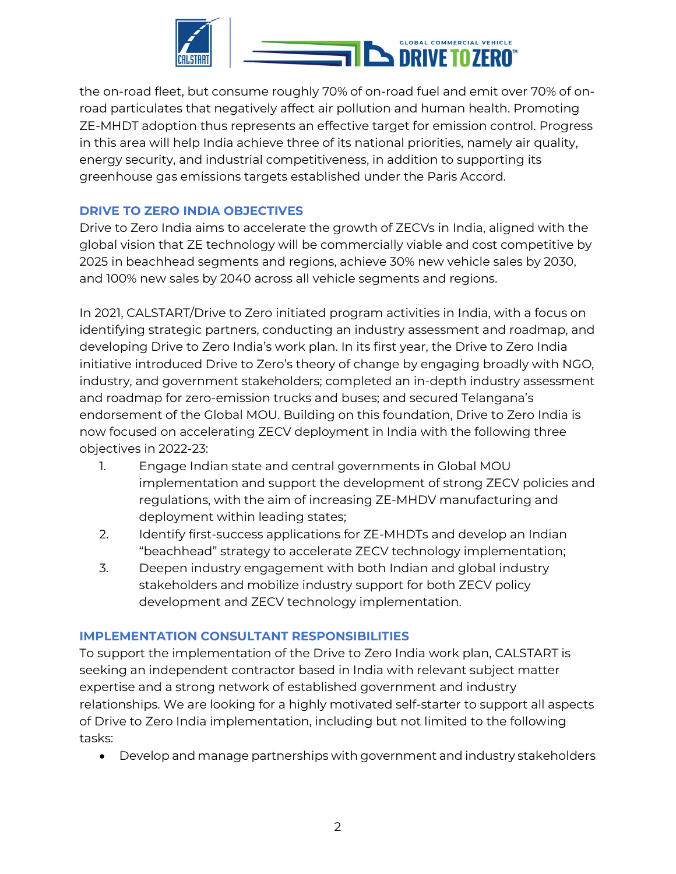

the on-road fleet, but consume roughly 70% of on-road fuel and emit over 70% of onroad particulates that negatively affect air pollution and human health. Promoting ZE-MHDT adoption thus represents an effective target for emission control. Progress in this area will help India achieve three of its national priorities, namely air quality, energy security, and industrial competitiveness, in addition to supporting its greenhouse gas emissions targets established under the Paris Accord.

### DRIVE TO ZERO INDIA OBJECTIVES

Drive to Zero India aims to accelerate the growth of ZECVs in India, aligned with the global vision that ZE technology will be commercially viable and cost competitive by 2025 in beachhead segments and regions, achieve 30% new vehicle sales by 2030, and 100% new sales by 2040 across all vehicle segments and regions.

In 2021, CALSTART/Drive to Zero initiated program activities in India, with a focus on identifying strategic partners, conducting an industry assessment and roadmap, and developing Drive to Zero India's work plan. In its first year, the Drive to Zero India initiative introduced Drive to Zero's theory of change by engaging broadly with NGO, industry, and government stakeholders; completed an in-depth industry assessment and roadmap for zero-emission trucks and buses; and secured Telangana's endorsement of the Global MOU. Building on this foundation, Drive to Zero India is now focused on accelerating ZECV deployment in India with the following three objectives in 2022-23:

- 1. Engage Indian state and central governments in Global MOU implementation and support the development of strong ZECV policies and regulations, with the aim of increasing ZE-MHDV manufacturing and deployment within leading states;
- 2. Identify first-success applications for ZE-MHDTs and develop an Indian "beachhead" strategy to accelerate ZECV technology implementation;
- 3. Deepen industry engagement with both Indian and global industry stakeholders and mobilize industry support for both ZECV policy development and ZECV technology implementation.

#### IMPLEMENTATION CONSULTANT RESPONSIBILITIES

To support the implementation of the Drive to Zero India work plan, CALSTART is seeking an independent contractor based in India with relevant subject matter expertise and a strong network of established government and industry relationships. We are looking for a highly motivated self-starter to support all aspects of Drive to Zero India implementation, including but not limited to the following tasks:

Develop and manage partnerships with government and industry stakeholders